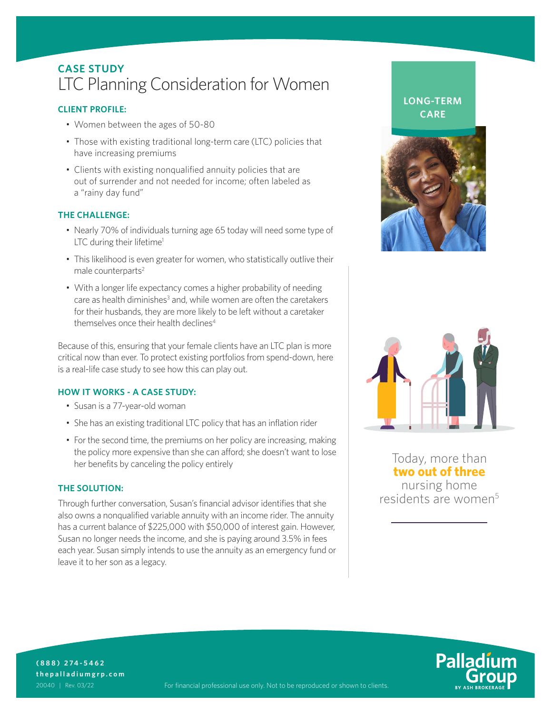## **CASE STUDY** LTC Planning Consideration for Women

### **CLIENT PROFILE:**<br> **CARE**

- Women between the ages of 50-80
- Those with existing traditional long-term care (LTC) policies that have increasing premiums
- Clients with existing nonqualified annuity policies that are out of surrender and not needed for income; often labeled as a "rainy day fund"

#### **THE CHALLENGE:**

- Nearly 70% of individuals turning age 65 today will need some type of LTC during their lifetime<sup>1</sup>
- This likelihood is even greater for women, who statistically outlive their male counterparts<sup>2</sup>
- With a longer life expectancy comes a higher probability of needing care as health diminishes<sup>3</sup> and, while women are often the caretakers for their husbands, they are more likely to be left without a caretaker themselves once their health declines<sup>4</sup>

Because of this, ensuring that your female clients have an LTC plan is more critical now than ever. To protect existing portfolios from spend-down, here is a real-life case study to see how this can play out.

#### **HOW IT WORKS - A CASE STUDY:**

- Susan is a 77-year-old woman
- She has an existing traditional LTC policy that has an inflation rider
- For the second time, the premiums on her policy are increasing, making the policy more expensive than she can afford; she doesn't want to lose her benefits by canceling the policy entirely

#### **THE SOLUTION:**

Through further conversation, Susan's financial advisor identifies that she also owns a nonqualified variable annuity with an income rider. The annuity has a current balance of \$225,000 with \$50,000 of interest gain. However, Susan no longer needs the income, and she is paying around 3.5% in fees each year. Susan simply intends to use the annuity as an emergency fund or leave it to her son as a legacy.

# **LONG-TERM**





Today, more than **two out of three**  nursing home residents are women<sup>5</sup>



**(888) 274-5462 thepalladiumgrp.com**